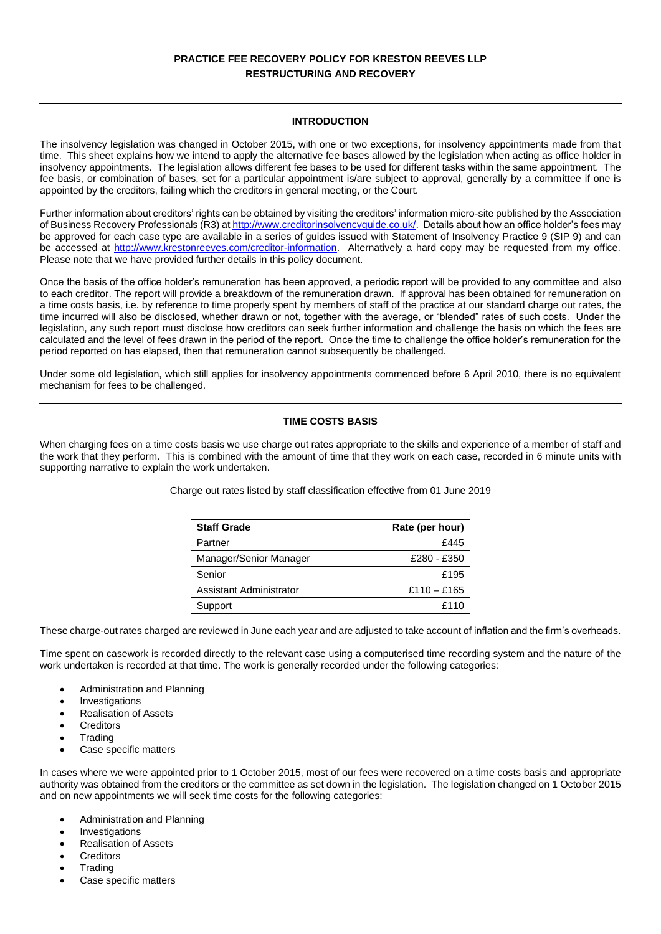# **PRACTICE FEE RECOVERY POLICY FOR KRESTON REEVES LLP RESTRUCTURING AND RECOVERY**

## **INTRODUCTION**

The insolvency legislation was changed in October 2015, with one or two exceptions, for insolvency appointments made from that time. This sheet explains how we intend to apply the alternative fee bases allowed by the legislation when acting as office holder in insolvency appointments. The legislation allows different fee bases to be used for different tasks within the same appointment. The fee basis, or combination of bases, set for a particular appointment is/are subject to approval, generally by a committee if one is appointed by the creditors, failing which the creditors in general meeting, or the Court.

Further information about creditors' rights can be obtained by visiting the creditors' information micro-site published by the Association of Business Recovery Professionals (R3) a[t http://www.creditorinsolvencyguide.co.uk/.](http://www.creditorinsolvencyguide.co.uk/) Details about how an office holder's fees may be approved for each case type are available in a series of guides issued with Statement of Insolvency Practice 9 (SIP 9) and can be accessed at [http://www.krestonreeves.com/creditor-information.](http://www.krestonreeves.com/creditor-information) Alternatively a hard copy may be requested from my office. Please note that we have provided further details in this policy document.

Once the basis of the office holder's remuneration has been approved, a periodic report will be provided to any committee and also to each creditor. The report will provide a breakdown of the remuneration drawn. If approval has been obtained for remuneration on a time costs basis, i.e. by reference to time properly spent by members of staff of the practice at our standard charge out rates, the time incurred will also be disclosed, whether drawn or not, together with the average, or "blended" rates of such costs. Under the legislation, any such report must disclose how creditors can seek further information and challenge the basis on which the fees are calculated and the level of fees drawn in the period of the report. Once the time to challenge the office holder's remuneration for the period reported on has elapsed, then that remuneration cannot subsequently be challenged.

Under some old legislation, which still applies for insolvency appointments commenced before 6 April 2010, there is no equivalent mechanism for fees to be challenged.

# **TIME COSTS BASIS**

When charging fees on a time costs basis we use charge out rates appropriate to the skills and experience of a member of staff and the work that they perform. This is combined with the amount of time that they work on each case, recorded in 6 minute units with supporting narrative to explain the work undertaken.

| <b>Staff Grade</b>      | Rate (per hour) |
|-------------------------|-----------------|
| Partner                 | £445            |
| Manager/Senior Manager  | £280 - £350     |
| Senior                  | £195            |
| Assistant Administrator | £110 - £165     |
| Support                 | £110            |

These charge-out rates charged are reviewed in June each year and are adjusted to take account of inflation and the firm's overheads.

Time spent on casework is recorded directly to the relevant case using a computerised time recording system and the nature of the work undertaken is recorded at that time. The work is generally recorded under the following categories:

- Administration and Planning
- **Investigations**
- Realisation of Assets
- **Creditors**
- **Trading**
- Case specific matters

In cases where we were appointed prior to 1 October 2015, most of our fees were recovered on a time costs basis and appropriate authority was obtained from the creditors or the committee as set down in the legislation. The legislation changed on 1 October 2015 and on new appointments we will seek time costs for the following categories:

- Administration and Planning
- **Investigations**
- Realisation of Assets
- **Creditors**
- **Trading**
- Case specific matters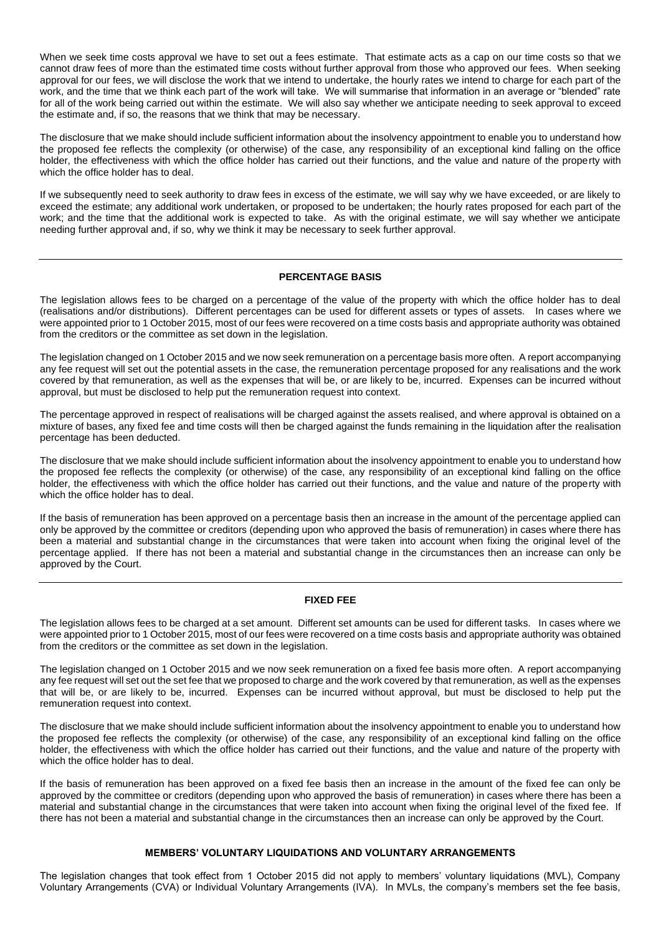When we seek time costs approval we have to set out a fees estimate. That estimate acts as a cap on our time costs so that we cannot draw fees of more than the estimated time costs without further approval from those who approved our fees. When seeking approval for our fees, we will disclose the work that we intend to undertake, the hourly rates we intend to charge for each part of the work, and the time that we think each part of the work will take. We will summarise that information in an average or "blended" rate for all of the work being carried out within the estimate. We will also say whether we anticipate needing to seek approval to exceed the estimate and, if so, the reasons that we think that may be necessary.

The disclosure that we make should include sufficient information about the insolvency appointment to enable you to understand how the proposed fee reflects the complexity (or otherwise) of the case, any responsibility of an exceptional kind falling on the office holder, the effectiveness with which the office holder has carried out their functions, and the value and nature of the property with which the office holder has to deal.

If we subsequently need to seek authority to draw fees in excess of the estimate, we will say why we have exceeded, or are likely to exceed the estimate; any additional work undertaken, or proposed to be undertaken; the hourly rates proposed for each part of the work; and the time that the additional work is expected to take. As with the original estimate, we will say whether we anticipate needing further approval and, if so, why we think it may be necessary to seek further approval.

#### **PERCENTAGE BASIS**

The legislation allows fees to be charged on a percentage of the value of the property with which the office holder has to deal (realisations and/or distributions). Different percentages can be used for different assets or types of assets. In cases where we were appointed prior to 1 October 2015, most of our fees were recovered on a time costs basis and appropriate authority was obtained from the creditors or the committee as set down in the legislation.

The legislation changed on 1 October 2015 and we now seek remuneration on a percentage basis more often. A report accompanying any fee request will set out the potential assets in the case, the remuneration percentage proposed for any realisations and the work covered by that remuneration, as well as the expenses that will be, or are likely to be, incurred. Expenses can be incurred without approval, but must be disclosed to help put the remuneration request into context.

The percentage approved in respect of realisations will be charged against the assets realised, and where approval is obtained on a mixture of bases, any fixed fee and time costs will then be charged against the funds remaining in the liquidation after the realisation percentage has been deducted.

The disclosure that we make should include sufficient information about the insolvency appointment to enable you to understand how the proposed fee reflects the complexity (or otherwise) of the case, any responsibility of an exceptional kind falling on the office holder, the effectiveness with which the office holder has carried out their functions, and the value and nature of the property with which the office holder has to deal.

If the basis of remuneration has been approved on a percentage basis then an increase in the amount of the percentage applied can only be approved by the committee or creditors (depending upon who approved the basis of remuneration) in cases where there has been a material and substantial change in the circumstances that were taken into account when fixing the original level of the percentage applied. If there has not been a material and substantial change in the circumstances then an increase can only be approved by the Court.

#### **FIXED FEE**

The legislation allows fees to be charged at a set amount. Different set amounts can be used for different tasks. In cases where we were appointed prior to 1 October 2015, most of our fees were recovered on a time costs basis and appropriate authority was obtained from the creditors or the committee as set down in the legislation.

The legislation changed on 1 October 2015 and we now seek remuneration on a fixed fee basis more often. A report accompanying any fee request will set out the set fee that we proposed to charge and the work covered by that remuneration, as well as the expenses that will be, or are likely to be, incurred. Expenses can be incurred without approval, but must be disclosed to help put the remuneration request into context.

The disclosure that we make should include sufficient information about the insolvency appointment to enable you to understand how the proposed fee reflects the complexity (or otherwise) of the case, any responsibility of an exceptional kind falling on the office holder, the effectiveness with which the office holder has carried out their functions, and the value and nature of the property with which the office holder has to deal.

If the basis of remuneration has been approved on a fixed fee basis then an increase in the amount of the fixed fee can only be approved by the committee or creditors (depending upon who approved the basis of remuneration) in cases where there has been a material and substantial change in the circumstances that were taken into account when fixing the original level of the fixed fee. If there has not been a material and substantial change in the circumstances then an increase can only be approved by the Court.

#### **MEMBERS' VOLUNTARY LIQUIDATIONS AND VOLUNTARY ARRANGEMENTS**

The legislation changes that took effect from 1 October 2015 did not apply to members' voluntary liquidations (MVL), Company Voluntary Arrangements (CVA) or Individual Voluntary Arrangements (IVA). In MVLs, the company's members set the fee basis,